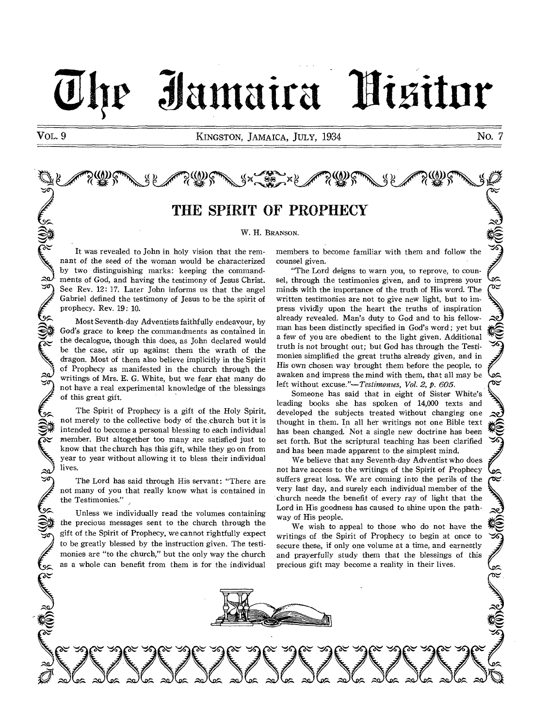## Jamaira Fizitur

VOL. 9 KINGSTON, JAMAICA, JULY, 1934 NO. 7

# jefR (t) k,ep, 1) F,No x >> (21) )e,p, (8) ;;Ti' <sup>j</sup>

## THE SPIRIT OF PROPHECY

W. H. BRANSON.

It was revealed to John in holy vision that the remnant of the seed of the woman would be characterized by two distinguishing marks: keeping the commandments of God, and having the testimony of Jesus Christ. See Rev. 12: 17. Later John informs us that the angel Gabriel defined the testimony of Jesus to be the spirit of prophecy. Rev. 19: 10.

٣

 $\widetilde{\mathcal{S}}$ 

.<br>پې

 $\approx$ SG

A COLUMN

 $\widetilde{\mathcal{E}}_{\mathbf{v}}^{(0)}$ 

Most Seventh-day Adventists faithfully endeavour, by God's grace to keep the commandments as contained in the decalogue, though this does, as John declared would be the case, stir up against them the wrath of the dragon. Most of them also believe implicitly in the Spirit of Prophecy as manifested in the church through the writings of Mrs. E. G. White, but we fear that many do not have a real experimental knowledge of the blessings of this great gift.

The Spirit of Prophecy is a gift of the Holy Spirit, not merely to the collective body of the church but it is intended to become a personal blessing to each individual member. But altogether too many are satisfied just to know that the church has this gift, while they go on from year to year without allowing it to bless their individual lives.

The Lord has said through His servant: "There are not many of you that really know what is contained in the Testimonies."

Unless we individually read the volumes containing the precious messages sent to the church through the gift of the Spirit of Prophecy, we cannot rightfully expect to be greatly blessed by the instruction given. The testimonies are "to the church," but the only way the church as a whole can benefit from them is for the individual members to become familiar with them and follow the counsel given.

"The Lord deigns to warn you, to reprove, to counsel, through the testimonies given, and to impress your minds with the importance of the truth of His word. The written testimonies are not to give new light, but to impress vividly upon the heart the truths of inspiration already revealed. Man's duty to God and to his fellowman has been distinctly specified in God's word ; yet but a few of you are obedient to the light given. Additional truth is not brought out; but God has through the Testimonies simplified the great truths already given, and in His own chosen way brought them before the people, to awaken and impress the mind with them, that all may be left without excuse."-Testimonies, Vol. 2, p. 605.

Someone has said that in eight of Sister White's leading books she has spoken of 14,000 texts and developed the subjects treated without changing one thought in them. In all her writings not one Bible text has been changed. Not a single new doctrine has been set forth. But the scriptural teaching has been clarified and has been made apparent to the simplest mind.

ê.

 $\infty$ 

১≍

 $\sim$ 

ê.

جھ

We believe that any Seventh-day Adventist who does not have access to the writings of the Spirit of Prophecy not have access to the writings of the Spirit of Prophecy  $\int_{\infty}$  suffers great loss. We are coming into the perils of the  $\infty$ very last day, and surely each individual member of the church needs the benefit of every ray of light that the Lord in His goodness has caused to shine upon the pathway of His people.

We wish to appeal to those who do not have the writings of the Spirit of Prophecy to begin at once to secure these, if only one volume at a time, and earnestly and prayerfully study them that the blessings of this precious gift may become a reality in their lives.

my vyznych poznych specificzne specificzne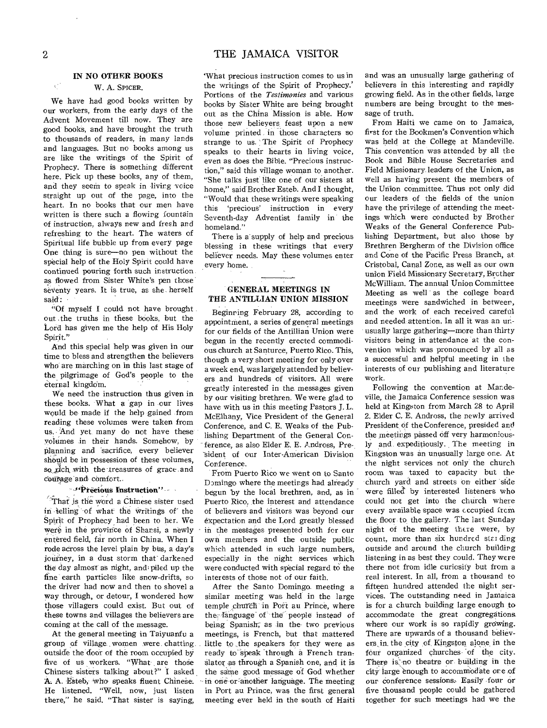### IN NO OTHER BOOKS

### W. A. SPICER.

We have had good books written by our workers, from the early days of the Advent Movement till now. They are good books, and have brought the truth to thousands of readers, in many lands and languages. But no books among us are like the writings of the Spirit of Prophecy. There is something different here. Pick up these books, any of them, and they seem to speak in living voice straight up out of the page, into the heart. In no books that our men have written is there such a flowing fountain of instruction, always new and fresh and refreshing to the heart. The waters of Spiritual life bubble up from every page One thing is sure—no pen without the special help of the Holy Spirit could have continued pouring forth such instruction as flowed from Sister White's pen those seventy years. It is true, as she. herself said:

"Of myself I could not have brought out .the truths in these books, but the Lord has given me the help of His Holy Spirit."

And this special help was given in our time to bless and strengthen the believers who are marching on in this last stage of the pilgrimage of God's people to the eternal kingdom.

We need the instruction thus given in these books. What a gap in our lives would be- made if the help gained from reading these volumes were taken from us. And yet many do not have these volumes in their hands. Somehow, by planning and sacrifice, every believer should be in possession of these volumes, so rich with the treasures of grace and courage and comfort.

### -- Freeious Instruction"

 $\hat{\tau}$ That is the word a Chinese sister used in telling of what the writings of the Spirit of Prophecy had been to her. We were in the province of Shansi, a newly entered field, far north in China. When I rode across the level plain by bus, a day's journey, in a dust storm that darkened the day almost as night, and piled up the fine earth particles like snow-drifts, so the driver had now and then to shovel a way through, or detour, I wondered how those villagers could exist. But out of these towns and villages the believers are coming at the call of the message.

At the general meeting in Taiyuanfu a group of village women were chatting. outside the door of the room occupied by five of us workers. "What are those Chinese sisters talking about ?" I asked A. A. Esteb, who speaks fluent Chinese. He listened. "Well, now, just listen there," he said. "That sister is saying,

`What precious instruction comes to us in the writings of the Spirit of Prophecy.' Portions of the *Testimonies* and various books by Sister White are being brought out as the China Mission is able. How those new believers feast upon a new volume printed in those characters so strange to us. The Spirit of Prophecy speaks to their hearts in living voice, even as does the Bible. "Precious instruction," said this village woman to another. "She talks just like one of our sisters at home," said Brother Esteb. And I thought, "Would that these writings were speaking this 'precious' instruction in every Seventh-day Adventist family in the homeland."

There is a supply of help and precious blessing in these writings that every believer needs. May these volumes enter every home.

### GENERAL MEETINGS IN THE ANTILLIAN UNION MISSION

Beginning February 28, according to appointment, a series of general meetings for our fields of the Antillian Union were begun in the recently erected commodious church at Santurce, Puerto Rico. This, though a very short meeting for only over a week end, was largely attended by believers and hundreds of visitors. All were greatly interested in the messages given by our visiting brethren. We were glad to have with us in this meeting Pastors J. L. McElhany, Vice President of the General Conference, and C. E. Weaks of the Publishing Department of the General Con ference, as also Elder E. E. Andross, President of our Inter-American Division Conference.

From Puerto Rico we went on to Santo Domingo where the meetings had already begun by the local brethren, and, as in Puerto Rico, the interest and attendance of believers and visitors was beyond our expectation and the Lord greatly blessed in the messages presented both for our own members and the outside public which attended in such large numbers, especially in the night services which were conducted with special regard to the interests of those not of our faith.

After the Santo Domingo. meeting a similar meeting was held in the large temple church in Port au Prince, where the language of the people instead of being Spanish; as in the- two previous meetings, is French, but that mattered little to the speakers for they were as ready to speak through a French translator as through a Spanish one, and it is the same good message of God whether in one or another language. The meeting in Port au Prince, was the first general meeting ever held in the south of Haiti and was an unusually large gathering of believers in this interesting and rapidly growing field. As in the other fields, large numbers are being brought to the message of truth.

From Haiti we came on to Jamaica, first for the Bookmen's Convention which was held at the College at Mandeville. This convention was attended by all the Book and Bible House Secretaries and Field Missionary leaders of the Union, as well as having present the members of the Union committee. Thus not only did our leaders of the fields of the union have the privilege of attending the meetings which were conducted by Brother Weaks of the General Conference Publishing Department, but also those by Brethren Bergherm of the Division office and Cone of the Pacific Press Branch, at Cristobal, Canal Zone, as well as our own union Field Missionary Secretary, Brother McWilliam. The annual Union Committee Meeting as well as the college board meetings were sandwiched in between, and the work of each received careful and needed attention. In all it was an unusually large gathering—more than thirty visitors being in attendance at the convention which was pronounced by all as a successful and helpful meeting in the interests of our publishing and literature work.

Following the convention at Mandeville, the Jamaica Conference session was held at Kingston from March 28 to April 2. Elder C. E. Andross, the newly arrived President of the Conference, presided and the meetings passed off very harmoniously and expeditiously. The meeting in Kingston was an unusually large one. At the night services not only the church room was taxed to capacity but the church yard and streets on either side were filled by interested listeners who could not get into the church where every available space was occupied from the floor to the gallery. The last Sunday night of the meeting there were, by count, more than six hundred star ding outside and around the church building listening in as best they could. They were there not from idle curiosity but from a real interest. In all, from a thousand to fifteen hundred attended the night services. The outstanding need in Jamaica is for a church building large enough to accommodate the great congregations. where our work is so rapidly growing. There are upwards of a thousand believers, in. the city of Kingston alone in the four organized churches of the city. There is no theatre or building in the city large enough to accommodate ore of our conference sessions. Easily four or five thousand people could be gathered together for such meetings had we the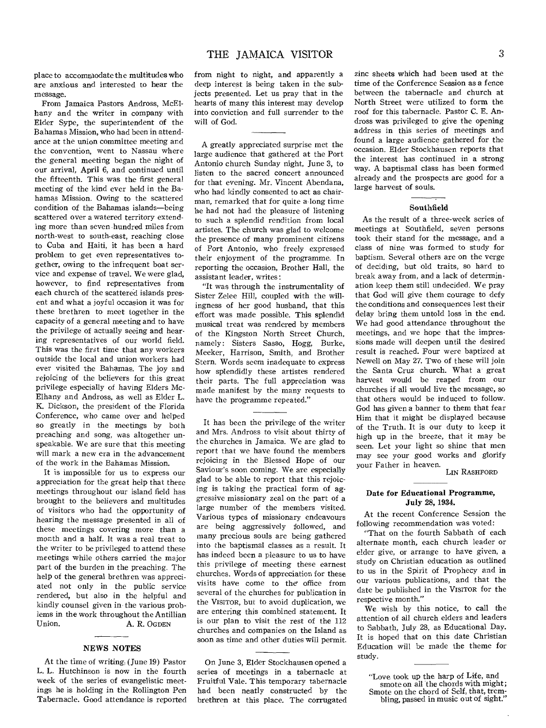place to accommodate the multitudes who are anxious and interested to hear the message.

From Jamaica Pastors Andross, McEIhany and the writer in company with Elder Sype, the superintendent of the Bahamas Mission, who had been in attendance at the union committee meeting and the convention, went to Nassau where the general meeting began the night of our arrival, April 6, and continued until the fifteenth. This was the first general meeting of the kind ever held in the Bahamas Mission. Owing to the scattered condition of the Bahamas islands—being scattered over a watered territory extending more than seven hundred miles from north-west to south-east, reaching close to Cuba and Haiti, it has been a hard problem to get even representatives together, owing to the infrequent boat service and expense of travel. We were glad, however, to find representatives from each church of the scattered islands present and what a joyful occasion it was for these brethren to meet together in the capacity of a general meeting and to have the privilege of actually seeing and hearing representatives of our world field. This was the first time that any workers outside the local and union workers had ever visited the Bahamas. The joy and rejoicing of the believers for this great privilege especially of having Elders Mc-Elhany and Andross, as well as Elder L. K. Dickson, the president of the Florida Conference, who came over and helped so greatly in the meetings by both preaching and song, was altogether unspeakable. We are sure that this meeting will mark a new era in the advancement of the work in the Bahamas Mission.

It is impossible for us to express our appreciation for the great help that these meetings throughout our island field has brought to the believers and multitudes of visitors who had the opportunity of hearing the message presented in all of these meetings covering more than a month and a half. It was a real treat to the writer to be privileged to attend these meetings while others carried the major part of the burden in the preaching. The help of the general brethren was appreciated not only in the public service rendered, but also in the helpful and kindly counsel given in the various problems in the work throughout the Antillian<br>Union. A. R. OGDEN A. R. OGDEN

### NEWS NOTES

At the time of writing (June 19) Pastor L. L. Hutchinson is now in the fourth week of the series of evangelistic meetings he is holding in the Rollington Pen Tabernacle. Good attendance is reported from night to night, and apparently a deep interest is being taken in the subjects presented. Let us pray that in the hearts of many this interest may develop into conviction and full surrender to the will of God.

A greatly appreciated surprise met the large audience that gathered at the Port Antonio church Sunday night, June 3, to listen to the sacred concert announced for that evening. Mr. Vincent Abendana, who had kindly consented to act as chairman, remarked that for quite a long time he had not had the pleasure of listening to such a splendid rendition from local artistes. The church was glad to welcome the presence of many prominent citizens of Port Antonio, who freely expressed their enjoyment of the programme. In reporting the occasion, Brother Hall, the assistant leader, writes:

"It was through the instrumentality of Sister Zelee Hill, coupled with the willingness of her good husband, that this effort was made possible. This splendid musical treat was rendered by members of the Kingston North Street Church, namely: Sisters Sasso, Hogg, Burke, Meeker, Harrison, Smith, and Brother Stern. Words seem inadequate to express how splendidly these artistes rendered their parts. The full appreciation was made manifest by the many requests to have the programme repeated."

It has been the privilege of the writer and Mrs. Andross to visit about thirty of the churches in Jamaica. We are glad to report that we have found the members rejoicing in the Blessed Hope of our Saviour's soon coming. We are especially glad to be able to report that this rejoicing is taking the practical form of aggressive missionary zeal on the part of a large number of the members visited. Various types of missionary endeavours are being aggressively followed, and many precious souls are being gathered into the baptismal classes as a result. It has indeed been a pleasure to us to have this privilege of meeting these earnest churches. Words of appreciation for these visits have come to the office from several of the churches for publication in the VISITOR, but to avoid duplication, we are entering this combined statement. It is our plan to visit the rest of the 112 churches and companies on the Island as soon as time and other duties will permit.

On June 3, Elder Stockhausen opened a series of meetings in a tabernacle at Fruitful Vale. This temporary tabernacle had been neatly constructed by the brethren at this place. The corrugated zinc sheets which had been used at the time of the Conference Session as a fence between the tabernacle and church at North Street were utilized to form the roof for this tabernacle. Pastor C. E. Andross was privileged to give the opening address in this series of meetings and found a large audience gathered for the occasion. Elder Stockhausen reports that the interest has continued in a strong way. A baptismal class has been formed already and the prospects are good for a large harvest of souls.

### **Southfield**

As the result of a three-week series of meetings at Southfield, seven persons took their stand for the message, and a class of nine was formed to study for baptism. Several others are on the verge of deciding, but old traits, so hard to break away from, and a lack of determination keep them still undecided. We pray that God will give them courage to defy the conditions and consequences lest their delay bring them untold loss in the end. We had good attendance throughout the meetings, and we hope that the impressions made will deepen until the desired result is reached. Four were baptized at Newell on May 27. Two of these will join the Santa Cruz church. What a great harvest would be reaped from our churches if all would live the message, so that others would be induced to follow. God has given a banner to them that fear Him that it might be displayed because of the Truth. It is our duty to keep it high up in the breeze, that it may be seen. Let your light so shine that men may see your good works and glorify your Father in heaven.

LIN RASHFORD

### Date for Educational Programme, July 28, 1934.

At the recent Conference Session the following recommendation was voted:

"That on the fourth Sabbath of each alternate month, each church leader or elder give, or arrange to have given, a study on Christian education as outlined to us in the Spirit of Prophecy and in our various publications, and that the date be published in the VISITOR for the respective month."

We wish by this notice, to call the attention of all church elders and leaders to Sabbath, July 28, as Educational Day. It is hoped that on this date Christian Education will be made the theme for study.

<sup>&</sup>quot;Love took up the harp of Life, and smote on all the chords with might; Smote on the chord of Self, that, trembling, passed in music out of sight.'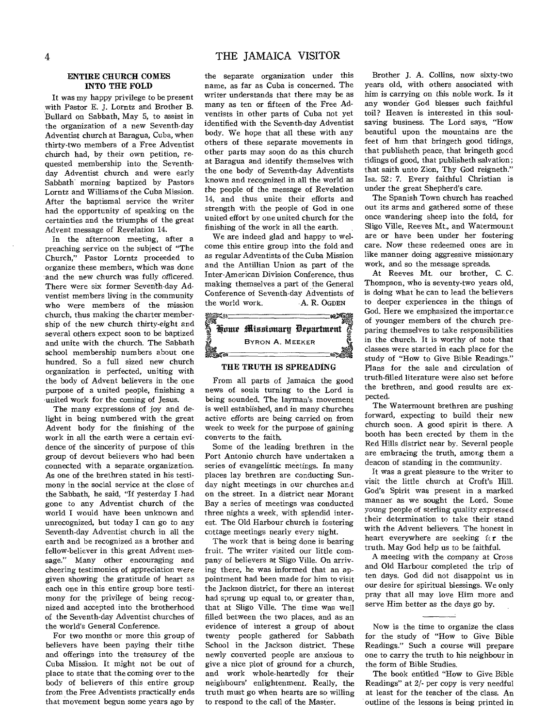### **ENTIRE CHURCH COMES INTO THE FOLD**

It was my happy privilege to be present with Pastor E. **J.** Lorntz and Brother **B.**  Bullard on Sabbath, May 5, to assist in the organization of a new Seventh-day Adventist church at Baragua, Cuba, when thirty-two members of a Free Adventist church had, by their own petition, requested membership into the Seventhday Adventist church and were early Sabbath morning baptized by Pastors Lorntz and Williams of the Cuba Mission. After the baptismal service the writer had the opportunity of speaking on the certainties and the triumphs of the great Advent message of Revelation 14.

In the afternoon meeting, after a preaching service on the subject of "The Church," Pastor Lorntz proceeded to organize these members, which was done and the new church was fully officered. There were six former Seventh-day Adventist members living in the community who were members of the mission church, thus making the charter membership of the new church thirty-eight and several others expect soon to be baptized and unite with the church. The Sabbath school membership numbers about one hundred. So a full sized new church organization is perfected, uniting with the body of Advent believers in the one purpose of a united people, finishing a united work for the coming of Jesus.

The many expressions of joy and delight in being numbered with the great Advent body for the finishing of the work in all the earth were a certain evidence of the sincerity of purpose of this group of devout believers who had been connected with a separate, organization. As one of the brethren stated in his testimony in the social service at the close of the Sabbath, he said, "If yesterday I had gone to any Adventist church of the world I would have been unknown and unrecognized, but today I can go to any Seventh-day Adventist church in all the earth and be recognized as a brother and fellow-believer in this great Advent message." Many other encouraging and cheering testimonies of appreciation were given showing the gratitude of heart as each one in this entire group bore testimony for the privilege of being recognized and accepted into the brotherhood of the Seventh-day Adventist churches of the world's General Conference.

For two months or more this group of believers have been paying their tithe and offerings into the treasurey of the Cuba Mission. It might not be out of place to state that the coming over to the body of believers of this entire group from the Free Adventists practically ends that movement begun some years ago by

the separate organization under this name, as far as Cuba is concerned. The writer understands that there may be as many as ten or fifteen of the Free Adventists in other parts of Cuba not yet identified with the Seventh-day Adventist body. We hope that all these with any others of these separate movements in other parts may soon do as this church at Baragua and identify themselves with the one body of Seventh-day Adventists known and recognized in all the world as the people of the message of Revelation 14, and thus unite their efforts and strength with the people of God in one united effort by one united church for the finishing of the work in all the earth.

We are indeed glad and happy to welcome this entire group into the fold and as regular Adventists of the Cuba Mission and the Antillian Union as part of the Inter-American Division Conference, thus making themselves a part of the General Conference of Seventh-day Adventists of the world work. A. R. OGDEN



### **THE TRUTH IS SPREADING**

From all parts of Jamaica the good news of- souls turning to the Lord is being sounded. The layman's movement is well established, and in many churches active efforts are being carried on from week to week for the purpose of gaining converts to the faith.

Some of the leading brethren in the Port Antonio church have undertaken a series of evangelistic meetings. In many places lay brethren are conducting Sunday night meetings in our churches and on the street. In a district near Morant Bay a series of meetings was conducted three nights a week, with splendid interest. The **Old** Harbour church is fostering cottage meetings nearly every night.

The work that is being done is bearing fruit. The writer visited our little company of believers at Sligo Ville. On arriving there, he was informed that an appointment had been made for him to visit the Jackson district, for there an interest had sprung up equal to, or greater than, that at Sligo Ville. The time was well filled between the two places, and as an evidence of interest a group of about twenty people gathered for Sabbath School in the Jackson district. These newly converted people are anxious to give a nice plot of ground for a church, and work whole-heartedly for their neighbours' enlightenment. Really, the truth must go when hearts are so willing to respond to the call of the Master.

Brother J. A. Collins, now sixty-two years old, with others associated with him is carrying on this noble work. Is it any wonder God blesses such faithful toil? Heaven is interested in this soulsaving business. The Lord says, "How beautiful upon the mountains are the feet of him that bringeth good tidings, that publisheth peace, that bringeth good tidings of good, that publisheth salvation; that saith unto Zion, Thy God reigneth." Isa. 52: 7. Every faithful Christian is under the great Shepherd's care.

The Spanish Town church has reached out its arms and gathered some of these once wandering sheep into the fold, for Sligo Ville, Reeves Mt., and Watermount are or have been under her fostering care. Now these redeemed ones are in like manner doing aggressive missionary work, and so the message spreads.

At Reeves Mt. our brother, C. C. Thompson, who is seventy-two years old, is doing what he can to lead the believers to deeper experiences in the things of God. Here we emphasized the importance of younger members of the church preparing themselves to take responsibilities in the church. It is worthy of note that classes were started in each place for the study of "How to Give Bible Readings." Plans for the sale and circulation of truth-filled literature were also set before the brethren, and good results are expected.

The Watermount brethren are pushing forward, expecting to build their new church soon. A good spirit is there. A booth has been erected by them in the Red Hills district near by. Several people are embracing the truth, among them a deacon of standing in the community.

It was a great pleasure to the writer to visit the little church at Croft's Hill. God's Spirit was present in a marked manner as we sought the Lord. Some *young* people of sterling quality expressed their determination to take their stand with the Advent believers. The honest in heart everywhere are seeking  $f(x)$  the truth. May God help us to be faithful.

A meeting with the company at Cross and Old Harbour completed the trip of ten days. God did not disappoint us in our desire for spiritual blessings. We only pray that all may love Him more and serve Him better as the days *go* by.

The book entitled "How to Give Bible Readings" at 2/- per copy is very needful at least for the teacher of the class. An outline of the lessons is being printed in

Now is the time to organize the class for the study of "How to Give Bible Readings." Such a course will prepare one to carry the truth to his neighbour in the form of Bible Studies.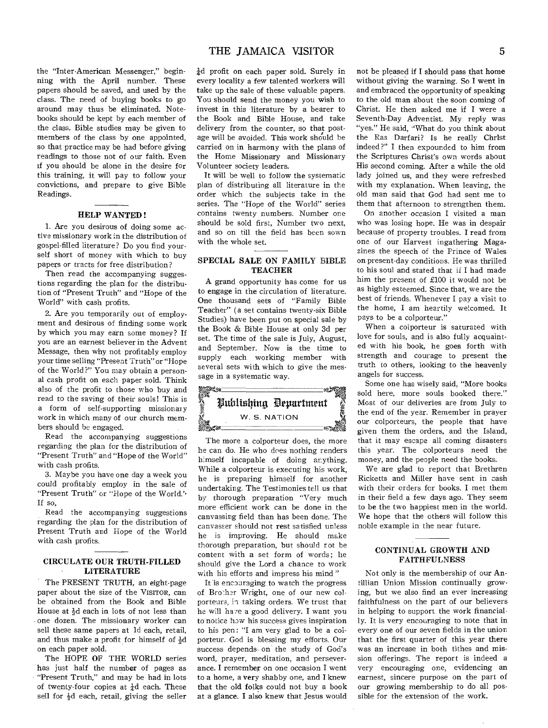the "Inter-American Messenger," beginning with the April number. These papers should be saved, and used by the class. The need of buying books to go around may thus be eliminated. Notebooks should be kept by each member of the class. Bible studies may be given to members of the class by one appointed, so that practice may be had before giving readings to those not of our faith. Even if you should be alone in the desire for this training, it will pay to follow your convictions, and prepare to give Bible Readings.

### HELP WANTED !

1. Are you desirous of doing some active missionary work in the distribution of gospel-filled literature? Do you find yourself short of money with which to buy papers or tracts for free distribution?

Then read the accompanying suggestions regarding the plan for the distribution of "Present Truth" and "Hope of the World" with cash profits.

2. Are you temporarily out of employment and desirous of finding some work by which you may earn some money? If you are an earnest believer in the Advent Message, then why not profitably employ your time selling "Present Truth" or "Hope of the World ?" You may obtain a personal cash profit on each paper sold. Think also of the profit to those who buy and read to the saving of their souls! This is a form of self-supporting missionary work in which many of our church members should be engaged.

Read the accompanying suggestions regarding the plan for the distribution of "Present Truth" and "Hope of the World" with cash profits.

3. Maybe you have one day a week you could profitably employ in the sale of "Present Truth" or "Hope of the World." If so,

Read the accompanying suggestions regarding the plan for the distribution of Present Truth and Hope of the World with cash profits.

### CIRCULATE OUR TRUTH-FILLED LITERATURE

The PRESENT TRUTH, an eight-page paper about the size of the VISITOR, can be obtained from the Book and Bible House at  $\frac{1}{2}d$  each in lots of not less than one dozen. The missionary worker can sell these same papers at ld each, retail, and thus make a profit for himself of  $\frac{1}{2}d$ on each paper sold.

The HOPE OF THE WORLD series has just half the number of pages as "Present Truth," and may be had in lots of twenty-four copies at  $\frac{1}{4}d$  each. These sell for  $\frac{1}{2}d$  each, retail, giving the seller  $\frac{1}{4}d$  profit on each paper sold. Surely in every locality a few talented workers will take up the sale of these valuable papers. You should send the money you wish to invest in this literature by a bearer to the Book and Bible House, and take delivery from the counter, so that postage will be avoided. This work should be carried on in harmony with the plans of the Home Missionary and Missionary Volunteer society leaders.

It will be well to follow the systematic plan of distributing all literature in the order which the subjects take in the series. The "Hope of the World" series contains twenty numbers. Number one should be sold first, Number two next, and so on till the field has been sown with the whole set.

### SPECIAL SALE ON FAMILY BIBLE **TEACHER**

A grand opportunity has come for us to engage in the circulation of literature. One thousand sets of "Family Bible Teacher" (a set contains twenty-six Bible Studies) have been put on special sale by the Book & Bible House at only 3d per set. The time of the sale is July, August, and September. Now is the time to supply each working member with several sets with which to give the message in a systematic way.



The more a colporteur does, the more he can do. He who does nothing renders himself incapable of doing anything. While a colporteur is executing his work, he is preparing himself for another undertaking. The Testimonies tell us that by thorough preparation "Very much more efficient work can be done in the canvassing field than has been done. The canvasser should not rest satisfied unless he is improving. He should make thorough preparation, but should rot be content with a set form of words; he should give the Lord a chance to work with his efforts and impress his mind "

It is encouraging to watch the progress of Brother Wright, one of our new colporteurs, in taking orders. We trust that he will have a good delivery. I want you to' notice how his success gives inspiration to his pen: "I am very glad to be a colporteur. God is blessing my efforts. Our success depends on the study of God's word, prayer, meditation, and perseverance. I remember on one occasion I went to a home, a very shabby one, and I knew that the old folks could not buy a book at a glance. I also knew that Jesus would not be pleased if I should pass that home without giving the warning. So I went in and embraced the opportunity of speaking to the old man about the soon coming of Christ. He then asked me if I were a Seventh-Day Adventist. My reply was "yes." He said, "What do you think about the Ras Darfari? Is he really Christ indeed?" I then expounded to him from the Scriptures Christ's own words about His second coming. After a while the old lady joined us, and they were refreshed with my explanation. When leaving, the old man said that God had sent me to them that afternoon to strengthen them.

On another occasion I visited a man who was losing hope. He was in despair because of property troubles. I read from one of our Harvest ingathering Magazines the speech of the Prince of Wales on present-day conditions. He was thrilled to his soul and stated that if I had made him the present of £100 it would not be as highly esteemed. Since that, we are the best of friends. Whenever I pay a visit to the home, I am heartily welcomed. It pays to be a colporteur."

When a colporteur is saturated with love for souls, and is also fully acquainted with his book, he goes forth with strength and courage to present the truth to others, looking to the heavenly angels for success.

Some one has wisely said, "More books sold here, more souls booked there." Most of our deliveries are from July to the end of the year. Remember in prayer our colporteurs, the people that have given them the orders, and the Island, that it may escape all coming disasters this year. The colporteurs need the money, and the people need the books.

We are glad to report that Brethren Ricketts and Miller have sent in cash with their orders for books. I met them in their field a few days ago. They seem to be the two happiest men in the world. We hope that the others will follow this noble example in the near future.

### CONTINUAL GROWTH AND FAITHFULNESS

Not only is the membership of our Antillian Union Mission continually growing, but we also find an ever increasing faithfulness on the part of our believers in helping to support the work financially. It is very encouraging to note that in every one of our seven fields in the union that the first quarter of this year there was an increase in both tithes and mission offerings. The report is indeed a very encouraging one, evidencing an earnest, sincere purpose on the part of our growing membership to do all possible for the extension of the work.